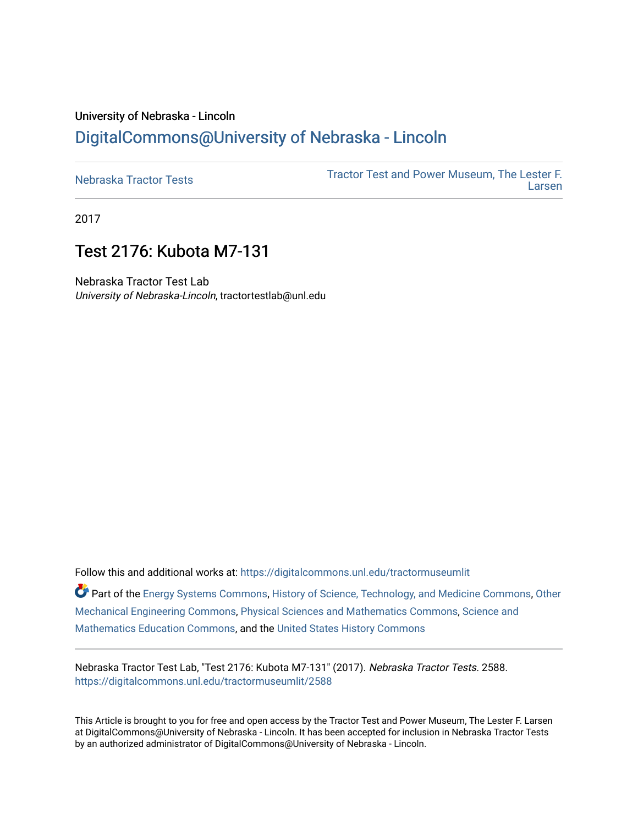# University of Nebraska - Lincoln [DigitalCommons@University of Nebraska - Lincoln](https://digitalcommons.unl.edu/)

| Nebraska Tractor Tests | Tractor Test and Power Museum, The Lester F.<br>Larsen |
|------------------------|--------------------------------------------------------|
|                        |                                                        |

2017

# Test 2176: Kubota M7-131

Nebraska Tractor Test Lab University of Nebraska-Lincoln, tractortestlab@unl.edu

Follow this and additional works at: [https://digitalcommons.unl.edu/tractormuseumlit](https://digitalcommons.unl.edu/tractormuseumlit?utm_source=digitalcommons.unl.edu%2Ftractormuseumlit%2F2588&utm_medium=PDF&utm_campaign=PDFCoverPages)

Part of the [Energy Systems Commons,](http://network.bepress.com/hgg/discipline/299?utm_source=digitalcommons.unl.edu%2Ftractormuseumlit%2F2588&utm_medium=PDF&utm_campaign=PDFCoverPages) [History of Science, Technology, and Medicine Commons,](http://network.bepress.com/hgg/discipline/500?utm_source=digitalcommons.unl.edu%2Ftractormuseumlit%2F2588&utm_medium=PDF&utm_campaign=PDFCoverPages) [Other](http://network.bepress.com/hgg/discipline/304?utm_source=digitalcommons.unl.edu%2Ftractormuseumlit%2F2588&utm_medium=PDF&utm_campaign=PDFCoverPages)  [Mechanical Engineering Commons,](http://network.bepress.com/hgg/discipline/304?utm_source=digitalcommons.unl.edu%2Ftractormuseumlit%2F2588&utm_medium=PDF&utm_campaign=PDFCoverPages) [Physical Sciences and Mathematics Commons,](http://network.bepress.com/hgg/discipline/114?utm_source=digitalcommons.unl.edu%2Ftractormuseumlit%2F2588&utm_medium=PDF&utm_campaign=PDFCoverPages) [Science and](http://network.bepress.com/hgg/discipline/800?utm_source=digitalcommons.unl.edu%2Ftractormuseumlit%2F2588&utm_medium=PDF&utm_campaign=PDFCoverPages)  [Mathematics Education Commons,](http://network.bepress.com/hgg/discipline/800?utm_source=digitalcommons.unl.edu%2Ftractormuseumlit%2F2588&utm_medium=PDF&utm_campaign=PDFCoverPages) and the [United States History Commons](http://network.bepress.com/hgg/discipline/495?utm_source=digitalcommons.unl.edu%2Ftractormuseumlit%2F2588&utm_medium=PDF&utm_campaign=PDFCoverPages)

Nebraska Tractor Test Lab, "Test 2176: Kubota M7-131" (2017). Nebraska Tractor Tests. 2588. [https://digitalcommons.unl.edu/tractormuseumlit/2588](https://digitalcommons.unl.edu/tractormuseumlit/2588?utm_source=digitalcommons.unl.edu%2Ftractormuseumlit%2F2588&utm_medium=PDF&utm_campaign=PDFCoverPages) 

This Article is brought to you for free and open access by the Tractor Test and Power Museum, The Lester F. Larsen at DigitalCommons@University of Nebraska - Lincoln. It has been accepted for inclusion in Nebraska Tractor Tests by an authorized administrator of DigitalCommons@University of Nebraska - Lincoln.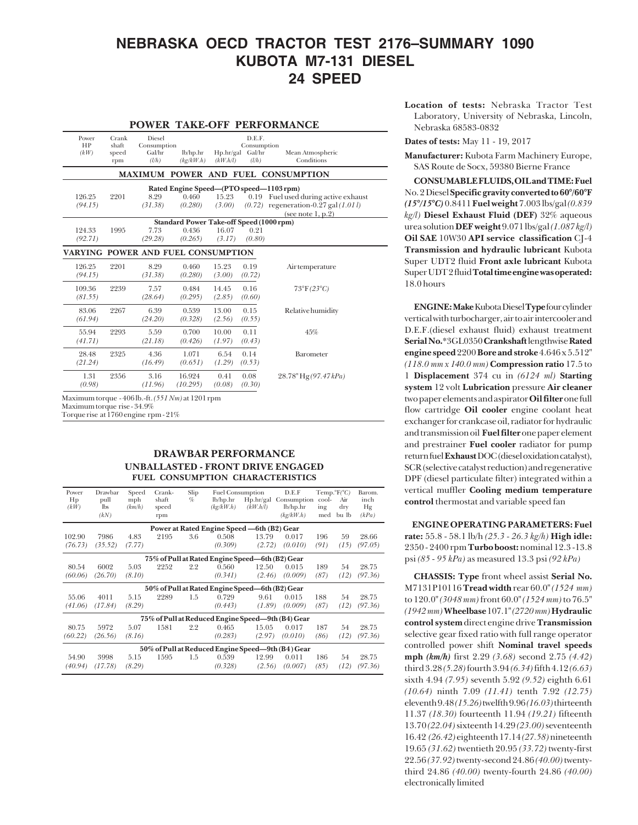## **NEBRASKA OECD TRACTOR TEST 2176–SUMMARY 1090 KUBOTA M7-131 DIESEL 24 SPEED**

### **POWER TAKE-OFF PERFORMANCE**

| Power<br>HP<br>(kW)                                                                     | Crank<br>shaft<br>speed<br>rpm | Diesel<br>Consumption<br>Gal/hr<br>(l/h) | lb/hp.hr<br>(kg/kW.h)                           | Hp/hr/gal<br>(kW.h/l) | D.E.F.<br>Consumption<br>Gal/hr<br>(l/h) | Mean Atmospheric<br>Conditions                                                                            |  |
|-----------------------------------------------------------------------------------------|--------------------------------|------------------------------------------|-------------------------------------------------|-----------------------|------------------------------------------|-----------------------------------------------------------------------------------------------------------|--|
|                                                                                         |                                |                                          |                                                 |                       |                                          | MAXIMUM POWER AND FUEL CONSUMPTION                                                                        |  |
| Rated Engine Speed-(PTO speed-1103 rpm)                                                 |                                |                                          |                                                 |                       |                                          |                                                                                                           |  |
| 126.25<br>(94.15)                                                                       | 2201                           | 8.29<br>(31.38)                          | 0.460<br>(0.280)                                | 15.23<br>(3.00)       |                                          | 0.19 Fuel used during active exhaust<br>$(0.72)$ regeneration-0.27 gal $(1.01 l)$<br>(see note $1, p.2$ ) |  |
|                                                                                         |                                |                                          | <b>Standard Power Take-off Speed (1000 rpm)</b> |                       |                                          |                                                                                                           |  |
| 124.33<br>(92.71)                                                                       | 1995                           | 7.73<br>(29.28)                          | 0.436<br>(0.265)                                | 16.07<br>(3.17)       | 0.21<br>(0.80)                           |                                                                                                           |  |
| VARYING POWER AND FUEL CONSUMPTION                                                      |                                |                                          |                                                 |                       |                                          |                                                                                                           |  |
| 126.25<br>(94.15)                                                                       | 2201                           | 8.29<br>(31.38)                          | 0.460<br>(0.280)                                | 15.23<br>(3.00)       | 0.19<br>(0.72)                           | Air temperature                                                                                           |  |
| 109.36<br>(81.55)                                                                       | 2239                           | 7.57<br>(28.64)                          | 0.484<br>(0.295)                                | 14.45<br>(2.85)       | 0.16<br>(0.60)                           | $73^{\circ}F(23^{\circ}C)$                                                                                |  |
| 83.06<br>(61.94)                                                                        | 2267                           | 6.39<br>(24.20)                          | 0.539<br>(0.328)                                | 13.00<br>(2.56)       | 0.15<br>(0.55)                           | Relative humidity                                                                                         |  |
| 55.94<br>(41.71)                                                                        | 2293                           | 5.59<br>(21.18)                          | 0.700<br>(0.426)                                | 10.00<br>(1.97)       | 0.11<br>(0.43)                           | 45%                                                                                                       |  |
| 28.48<br>(21.24)                                                                        | 2325                           | 4.36<br>(16.49)                          | 1.071<br>(0.651)                                | 6.54<br>(1.29)        | 0.14<br>(0.53)                           | Barometer                                                                                                 |  |
| 1.31<br>(0.98)                                                                          | 2356                           | 3.16<br>(11.96)                          | 16.924<br>(10.295)                              | 0.41<br>(0.08)        | 0.08<br>(0.30)                           | $28.78"$ Hg(97.47kPa)                                                                                     |  |
| Maximum torque - $406$ lb.-ft. $(551\,Nm)$ at $1201$ rpm<br>Maximum torque rise - 34.9% |                                |                                          |                                                 |                       |                                          |                                                                                                           |  |

Torque rise at 1760 engine rpm - 21%

## **DRAWBAR PERFORMANCE UNBALLASTED - FRONT DRIVE ENGAGED FUEL CONSUMPTION CHARACTERISTICS**

| Power<br>Hp<br>(kW) | Drawbar<br>pull<br>$\mathbf{lbs}$<br>(kN) | Speed<br>mph<br>(km/h) | Crank-<br>shaft<br>speed<br>rpm | Slip<br>% | <b>Fuel Consumption</b><br>lb/hp/hr<br>(kg/kW.h) | Hp/hr/gal<br>(kW.h/l) | D.E.F<br>Consumption<br>lb/hp.hr<br>(kg/kW.h)     | Temp. ${}^{\circ}F(^{\circ}C)$<br>cool-<br>ing<br>med | Air<br>dry<br>bu lb | Barom.<br>inch<br>Hg<br>(kPa) |
|---------------------|-------------------------------------------|------------------------|---------------------------------|-----------|--------------------------------------------------|-----------------------|---------------------------------------------------|-------------------------------------------------------|---------------------|-------------------------------|
|                     |                                           |                        |                                 |           | Power at Rated Engine Speed -6th (B2) Gear       |                       |                                                   |                                                       |                     |                               |
| 102.90              | 7986                                      | 4.83                   | 2195                            | 3.6       | 0.508                                            | 13.79                 | 0.017                                             | 196                                                   | 59                  | 28.66                         |
| (76.73)             | (35.52)                                   | (7.77)                 |                                 |           | (0.309)                                          | (2.72)                | (0.010)                                           | (91)                                                  | (15)                | (97.05)                       |
|                     |                                           |                        |                                 |           | 75% of Pull at Rated Engine Speed-6th (B2) Gear  |                       |                                                   |                                                       |                     |                               |
| 80.54               | 6002                                      | 5.03                   | 2252                            | 2.2       | 0.560                                            | 12.50                 | 0.015                                             | 189                                                   | 54                  | 28.75                         |
| (60.06)             | (26.70)                                   | (8.10)                 |                                 |           | (0.341)                                          | (2.46)                | (0.009)                                           | (87)                                                  | (12)                | (97.36)                       |
|                     |                                           |                        |                                 |           | 50% of Pull at Rated Engine Speed-6th (B2) Gear  |                       |                                                   |                                                       |                     |                               |
| 55.06               | 4011                                      | 5.15                   | 2289                            | 1.5       | 0.729                                            | 9.61                  | 0.015                                             | 188                                                   | 54                  | 28.75                         |
| (41.06)             | (17.84)                                   | (8.29)                 |                                 |           | (0.443)                                          | (1.89)                | (0.009)                                           | (87)                                                  | (12)                | (97.36)                       |
|                     |                                           |                        |                                 |           |                                                  |                       | 75% of Pull at Reduced Engine Speed-9th (B4) Gear |                                                       |                     |                               |
| 80.75               | 5972                                      | 5.07                   | 1581                            | 2.2       | 0.465                                            | 15.05                 | 0.017                                             | 187                                                   | 54                  | 28.75                         |
| (60.22)             | (26.56)                                   | (8.16)                 |                                 |           | (0.283)                                          | (2.97)                | (0.010)                                           | (86)                                                  | (12)                | (97.36)                       |
|                     |                                           |                        |                                 |           |                                                  |                       | 50% of Pull at Reduced Engine Speed—9th (B4) Gear |                                                       |                     |                               |
| 54.90               | 3998                                      | 5.15                   | 1595                            | 1.5       | 0.539                                            | 12.99                 | 0.011                                             | 186                                                   | 54                  | 28.75                         |
| (40.94)             | (17.78)                                   | (8.29)                 |                                 |           | (0.328)                                          | (2.56)                | (0.007)                                           | (85)                                                  | (12)                | (97.36)                       |

**Location of tests:** Nebraska Tractor Test Laboratory, University of Nebraska, Lincoln, Nebraska 68583-0832

**Dates of tests:** May 11 - 19, 2017

**Manufacturer:** Kubota Farm Machinery Europe, SAS Route de Socx, 59380 Bierne France

**CONSUMABLE FLUIDS, OIL and TIME: Fuel** No. 2 Diesel **Specific gravity converted to 60°/60°F** *(15°/15°C)* 0.8411 **Fuel weight** 7.003 lbs/gal *(0.839 kg/l)* **Diesel Exhaust Fluid (DEF)** 32% aqueous urea solution **DEF weight** 9.071 lbs/gal *(1.087 kg/l)* **Oil SAE** 10W30 **API service classification** CJ-4 **Transmission and hydraulic lubricant** Kubota Super UDT2 fluid **Front axle lubricant** Kubota Super UDT 2 fluid **Total time engine was operated:** 18.0 hours

**ENGINE: Make** Kubota Diesel **Type** four cylinder vertical with turbocharger, air to air intercooler and D.E.F.(diesel exhaust fluid) exhaust treatment **Serial No.**\*3GL0350 **Crankshaft** lengthwise **Rated engine speed** 2200 **Bore and stroke** 4.646 x 5.512" *(118.0 mm x 140.0 mm)* **Compression ratio** 17.5 to 1 **Displacement** 374 cu in *(6124 ml)* **Starting system** 12 volt **Lubrication** pressure **Air cleaner** two paper elements and aspirator **Oil filter** one full flow cartridge **Oil cooler** engine coolant heat exchanger for crankcase oil, radiator for hydraulic and transmission oil **Fuel filter** one paper element and prestrainer **Fuel cooler** radiator for pump return fuel **Exhaust** DOC (diesel oxidation catalyst), SCR (selective catalyst reduction) and regenerative DPF (diesel particulate filter) integrated within a vertical muffler **Cooling medium temperature control** thermostat and variable speed fan

 **ENGINE OPERATING PARAMETERS: Fuel rate:** 55.8 - 58.1 lb/h *(25.3 - 26.3 kg/h)* **High idle:** 2350 - 2400 rpm **Turbo boost:** nominal 12.3 -13.8 psi *(85 - 95 kPa)* as measured 13.3 psi *(92 kPa)*

**CHASSIS: Type** front wheel assist **Serial No.** M7131P10116 **Tread width** rear 60.0" *(1524 mm)* to 120.0" *(3048 mm)* front 60.0" *(1524 mm)* to 76.5" *(1942 mm)* **Wheelbase** 107.1" *(2720 mm)* **Hydraulic control system** direct engine drive **Transmission** selective gear fixed ratio with full range operator controlled power shift **Nominal travel speeds mph** *(km/h)* first 2.29 *(3.68)* second 2.75 *(4.42)* third 3.28 *(5.28)* fourth 3.94 *(6.34)* fifth 4.12 *(6.63)* sixth 4.94 *(7.95)* seventh 5.92 *(9.52)* eighth 6.61 *(10.64)* ninth 7.09 *(11.41)* tenth 7.92 *(12.75)* eleventh 9.48 *(15.26)* twelfth 9.96 *(16.03)* thirteenth 11.37 *(18.30)* fourteenth 11.94 *(19.21)* fifteenth 13.70 *(22.04)* sixteenth 14.29 *(23.00)* seventeenth 16.42 *(26.42)* eighteenth 17.14 *(27.58)* nineteenth 19.65 *(31.62)* twentieth 20.95 *(33.72)* twenty-first 22.56 *(37.92)* twenty-second 24.86 *(40.00)* twentythird 24.86 *(40.00)* twenty-fourth 24.86 *(40.00)* electronically limited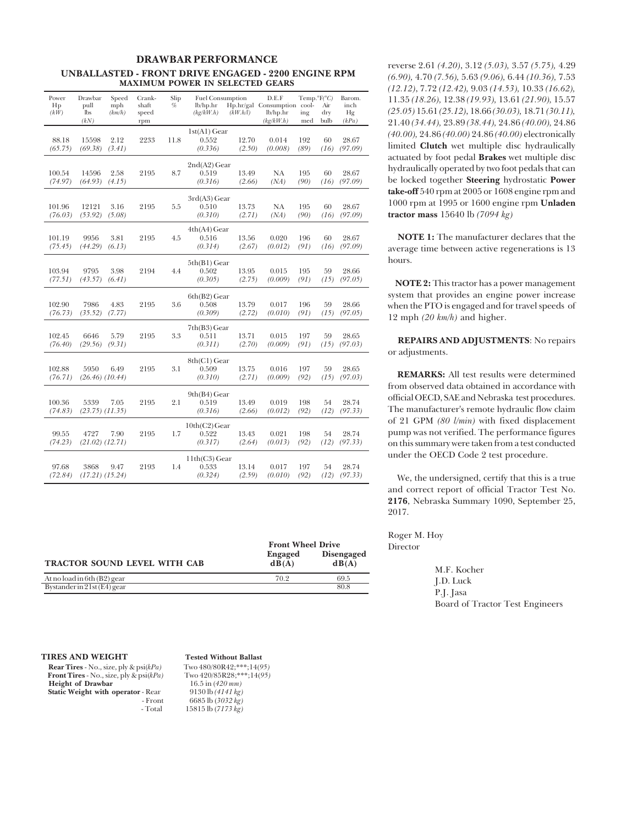### **DRAWBAR PERFORMANCE UNBALLASTED - FRONT DRIVE ENGAGED - 2200 ENGINE RPM MAXIMUM POWER IN SELECTED GEARS**

| Power<br>Hp<br>(kW) | Drawbar<br>pull<br>lbs<br>(kN) | Speed<br>mph<br>(km/h) | Crank-<br>shaft<br>speed<br>rpm | Slip<br>% | <b>Fuel Consumption</b><br>lb/hp.hr<br>(kg/kW.h) | (kW.h/l)        | D.E.F<br>Hp.hr/gal Consumption cool-<br>lb/hp/hr<br>(kg/kW.h) | $Temp.^{\circ}F(^{\circ}C)$<br>ing<br>med | Air<br>dry<br>bulb | Barom.<br>inch<br>Hg<br>(kPa) |
|---------------------|--------------------------------|------------------------|---------------------------------|-----------|--------------------------------------------------|-----------------|---------------------------------------------------------------|-------------------------------------------|--------------------|-------------------------------|
| 88.18<br>(65.75)    | 15598<br>(69.38)               | 2.12<br>(3.41)         | 2233                            | 11.8      | $1st(A1)$ Gear<br>0.552<br>(0.336)               | 12.70<br>(2.50) | 0.014<br>(0.008)                                              | 192<br>(89)                               | 60<br>(16)         | 28.67<br>(97.09)              |
| 100.54<br>(74.97)   | 14596<br>(64.93)               | 2.58<br>(4.15)         | 2195                            | 8.7       | $2nd(A2)$ Gear<br>0.519<br>(0.316)               | 13.49<br>(2.66) | NА<br>(NA)                                                    | 195<br>(90)                               | 60<br>(16)         | 28.67<br>(97.09)              |
| 101.96<br>(76.03)   | 12121<br>(53.92)               | 3.16<br>(5.08)         | 2195                            | 5.5       | 3rd(A3) Gear<br>0.510<br>(0.310)                 | 13.73<br>(2.71) | NA<br>(NA)                                                    | 195<br>(90)                               | 60<br>(16)         | 28.67<br>(97.09)              |
| 101.19<br>(75.45)   | 9956<br>(44.29)                | 3.81<br>(6.13)         | 2195                            | 4.5       | $4th(A4)$ Gear<br>0.516<br>(0.314)               | 13.56<br>(2.67) | 0.020<br>(0.012)                                              | 196<br>(91)                               | 60<br>(16)         | 28.67<br>(97.09)              |
| 103.94<br>(77.51)   | 9795<br>(43.57)                | 3.98<br>(6.41)         | 2194                            | 4.4       | $5th(B1)$ Gear<br>0.502<br>(0.305)               | 13.95<br>(2.75) | 0.015<br>(0.009)                                              | 195<br>(91)                               | 59<br>(15)         | 28.66<br>(97.05)              |
| 102.90<br>(76.73)   | 7986<br>(35.52)                | 4.83<br>(7.77)         | 2195                            | 3.6       | $6th(B2)$ Gear<br>0.508<br>(0.309)               | 13.79<br>(2.72) | 0.017<br>(0.010)                                              | 196<br>(91)                               | 59<br>(15)         | 28.66<br>(97.05)              |
| 102.45<br>(76.40)   | 6646<br>(29.56)                | 5.79<br>(9.31)         | 2195                            | 3.3       | 7th(B3) Gear<br>0.511<br>(0.311)                 | 13.71<br>(2.70) | 0.015<br>(0.009)                                              | 197<br>(91)                               | 59<br>(15)         | 28.65<br>(97.03)              |
| 102.88<br>(76.71)   | 5950<br>$(26.46)$ $(10.44)$    | 6.49                   | 2195                            | 3.1       | 8th(C1) Gear<br>0.509<br>(0.310)                 | 13.75<br>(2.71) | 0.016<br>(0.009)                                              | 197<br>(92)                               | 59<br>(15)         | 28.65<br>(97.03)              |
| 100.36<br>(74.83)   | 5339<br>$(23.75)$ $(11.35)$    | 7.05                   | 2195                            | 2.1       | 9th(B4) Gear<br>0.519<br>(0.316)                 | 13.49<br>(2.66) | 0.019<br>(0.012)                                              | 198<br>(92)                               | 54<br>(12)         | 28.74<br>(97.33)              |
| 99.55<br>(74.23)    | 4727<br>$(21.02)$ $(12.71)$    | 7.90                   | 2195                            | 1.7       | $10th(C2)$ Gear<br>0.522<br>(0.317)              | 13.43<br>(2.64) | 0.021<br>(0.013)                                              | 198<br>(92)                               | 54<br>(12)         | 28.74<br>(97.33)              |
| 97.68<br>(72.84)    | 3868<br>$(17.21)$ $(15.24)$    | 9.47                   | 2193                            | 1.4       | $11th(C3)$ Gear<br>0.533<br>(0.324)              | 13.14<br>(2.59) | 0.017<br>(0.010)                                              | 197<br>(92)                               | 54<br>(12)         | 28.74<br>(97.33)              |

|                                     | <b>Front Wheel Drive</b> |                            |
|-------------------------------------|--------------------------|----------------------------|
| <b>TRACTOR SOUND LEVEL WITH CAB</b> | <b>Engaged</b><br>dB(A)  | <b>Disengaged</b><br>dB(A) |
| At no load in 6th $(B2)$ gear       | 70.2                     | 69.5                       |
| $Bystander$ in 21st (E4) gear       |                          | 80.8                       |

reverse 2.61 *(4.20)*, 3.12 *(5.03),* 3.57 *(5.75),* 4.29 *(6.90),* 4.70 *(7.56),* 5.63 *(9.06),* 6.44 *(10.36),* 7.53 *(12.12)*, 7.72 *(12.42),* 9.03 *(14.53),* 10.33 *(16.62),* 11.35 *(18.26),* 12.38 *(19.93),* 13.61 *(21.90),* 15.57 *(25.05)* 15.61 *(25.12)*, 18.66 *(30.03),* 18.71 *(30.11),* 21.40 *(34.44),* 23.89 *(38.44),* 24.86 *(40.00),* 24.86 *(40.00),* 24.86 *(40.00)* 24.86 *(40.00)* electronically limited **Clutch** wet multiple disc hydraulically actuated by foot pedal **Brakes** wet multiple disc hydraulically operated by two foot pedals that can be locked together **Steering** hydrostatic **Power take-off** 540 rpm at 2005 or 1608 engine rpm and 1000 rpm at 1995 or 1600 engine rpm **Unladen tractor mass** 15640 lb *(7094 kg)*

 **NOTE 1:** The manufacturer declares that the average time between active regenerations is 13 hours.

 **NOTE 2:** This tractor has a power management system that provides an engine power increase when the PTO is engaged and for travel speeds of 12 mph *(20 km/h)* and higher.

 **REPAIRS AND ADJUSTMENTS**: No repairs or adjustments.

**REMARKS:** All test results were determined from observed data obtained in accordance with official OECD, SAE and Nebraska test procedures. The manufacturer's remote hydraulic flow claim of 21 GPM *(80 l/min)* with fixed displacement pump was not verified. The performance figures on this summary were taken from a test conducted under the OECD Code 2 test procedure.

We, the undersigned, certify that this is a true and correct report of official Tractor Test No. **2176**, Nebraska Summary 1090, September 25, 2017.

Roger M. Hoy Director

> M.F. Kocher J.D. Luck P.J. Jasa Board of Tractor Test Engineers

**Rear Tires** - No., size, ply & psi(*kPa*) Two 480/80R42;\*\*\*;14(95)<br>**Front Tires** - No., size, ply & psi(*kPa*) Two 420/85R28;\*\*\*;14(95) **Front Tires** - No., size, ply & psi(*kPa*) Two 420/85R28;\*\*<br>**Height of Drawbar** 16.5 in (420 mm)  **Height of Drawbar** 16.5 in (*420 mm*)<br> **Static Weight with operator** - Rear 9130 lb (*4141 kg*) **Static Weight with operator** - Rear<br>Front

## **TIRES AND WEIGHT** Tested Without Ballast<br> **Rear Tires** - No. size ply & psi(kPa) Two 480/80R49-\*\*\*-14(95)

 - Front 6685 lb (*3032 kg)* - Total 15815 lb (*7173 kg)*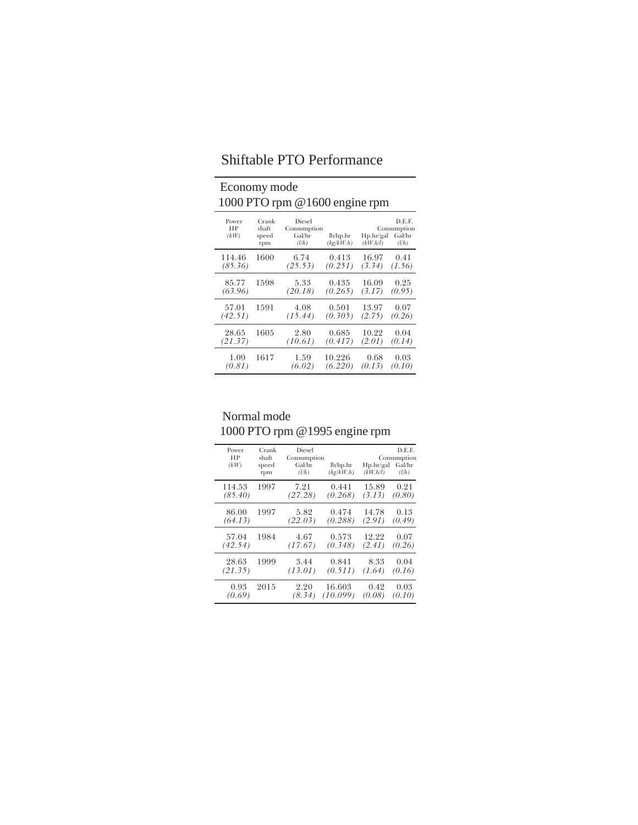## Economy mode 1000 PTO rpm @1600 engine rpm Power Crank Diesel<br>
HP shaft Consumption<br> *(kW)* speed Gal/hr<br>
rpm *(l/h) (kg/kW.h) (kW.h/l) (l/h)*<br> *(kg/kW.h) (kW.h/l)*  114.46 1600 6.74 0.413 16.97 0.41  *(85.36) (25.53) (0.251) (3.34) (1.56)*  $\begin{array}{cccc} 85.77 & 1598 & 5.33 & 0.435 & 16.09 & 0.25 \\ 63.96) & (20.18) & (0.265) & (3.17) & (0.95) \end{array}$ i.

| ,,,,,,,<br>(63.96) | .    | .<br>(20.18)    | ,,,,,,,,<br>$(0.265)$ $(3.17)$ $(0.95)$ | .               | $\cup \cdot \cup$ |
|--------------------|------|-----------------|-----------------------------------------|-----------------|-------------------|
| 57.01<br>(42.51)   | 1591 | 4.08<br>(15.44) | 0.501<br>$(0.305)$ $(2.75)$             | 13.97           | 0.07<br>(0.26)    |
| 28.65<br>(21.37)   | 1605 | 2.80<br>(10.61) | 0.685<br>(0.417)                        | 10.22<br>(2.01) | 0.04<br>(0.14)    |
| 1.09<br>(0.81)     | 1617 | 1.59<br>(6.02)  | 10.226<br>(6.220)                       | 0.68<br>(0.13)  | 0.03<br>(0.10)    |

| Normal mode                   |
|-------------------------------|
| 1000 PTO rpm @1995 engine rpm |

| Power<br>НP<br>(kW) | Crank<br>shaft<br>speed<br>rpm | Diesel<br>Consumption<br>Gal/hr<br>(l/h) | lb/hp.hr<br>(kg/kW.h) | Hp.hr/gal<br>(kW.h/l) | D.E.F.<br>Consumption<br>Gal/hr<br>(l/h) |
|---------------------|--------------------------------|------------------------------------------|-----------------------|-----------------------|------------------------------------------|
| 114.53              | 1997                           | 7.21                                     | 0.441                 | 15.89                 | 0.21                                     |
| (85.40)             |                                | (27.28)                                  | (0.268)               | (3.13)                | (0.80)                                   |
| 86.00               | 1997                           | 5.82                                     | 0.474                 | 14.78                 | 0.13                                     |
| (64.13)             |                                | (22.03)                                  | (0.288)               | (2.91)                | (0.49)                                   |
| 57.04               | 1984                           | 4.67                                     | 0.573                 | 12.22                 | 0.07                                     |
| (42.54)             |                                | (17.67)                                  | (0.348)               | (2.41)                | (0.26)                                   |
| 28.63               | 1999                           | 3.44                                     | 0.841                 | 8.33                  | 0.04                                     |
| (21.35)             |                                | (13.01)                                  | (0.511)               | (1.64)                | (0.16)                                   |
| 0.93                | 2015                           | 2.20                                     | 16.603                | 0.42                  | 0.03                                     |
| (0.69)              |                                | (8.34)                                   | (10.099)              | (0.08)                | (0.10)                                   |